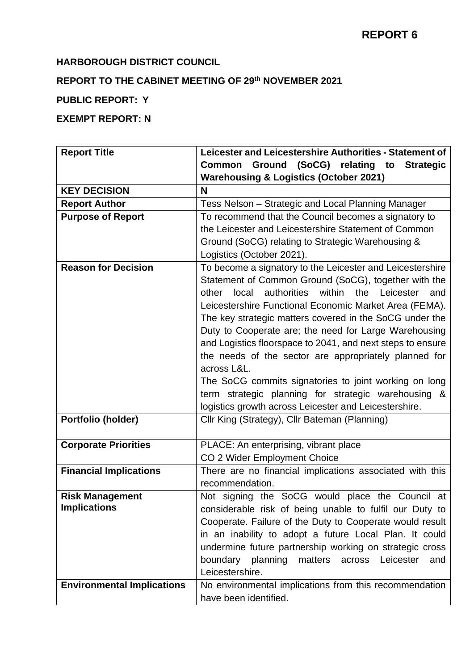# **HARBOROUGH DISTRICT COUNCIL**

# **REPORT TO THE CABINET MEETING OF 29th NOVEMBER 2021**

# **PUBLIC REPORT: Y**

# **EXEMPT REPORT: N**

| <b>Report Title</b>               | Leicester and Leicestershire Authorities - Statement of                 |
|-----------------------------------|-------------------------------------------------------------------------|
|                                   | Ground<br>(SoCG)<br>relating<br>to<br><b>Strategic</b><br><b>Common</b> |
|                                   | <b>Warehousing &amp; Logistics (October 2021)</b>                       |
| <b>KEY DECISION</b>               | N                                                                       |
| <b>Report Author</b>              | Tess Nelson - Strategic and Local Planning Manager                      |
| <b>Purpose of Report</b>          | To recommend that the Council becomes a signatory to                    |
|                                   | the Leicester and Leicestershire Statement of Common                    |
|                                   | Ground (SoCG) relating to Strategic Warehousing &                       |
|                                   | Logistics (October 2021).                                               |
| <b>Reason for Decision</b>        | To become a signatory to the Leicester and Leicestershire               |
|                                   | Statement of Common Ground (SoCG), together with the                    |
|                                   | authorities<br>within<br>the<br>other<br>local<br>Leicester<br>and      |
|                                   | Leicestershire Functional Economic Market Area (FEMA).                  |
|                                   | The key strategic matters covered in the SoCG under the                 |
|                                   | Duty to Cooperate are; the need for Large Warehousing                   |
|                                   | and Logistics floorspace to 2041, and next steps to ensure              |
|                                   | the needs of the sector are appropriately planned for<br>across L&L.    |
|                                   | The SoCG commits signatories to joint working on long                   |
|                                   | term strategic planning for strategic warehousing &                     |
|                                   | logistics growth across Leicester and Leicestershire.                   |
| Portfolio (holder)                | Cllr King (Strategy), Cllr Bateman (Planning)                           |
|                                   |                                                                         |
| <b>Corporate Priorities</b>       | PLACE: An enterprising, vibrant place                                   |
|                                   | CO 2 Wider Employment Choice                                            |
| <b>Financial Implications</b>     | There are no financial implications associated with this                |
|                                   | recommendation.                                                         |
| <b>Risk Management</b>            | Not signing the SoCG would place the Council at                         |
| <b>Implications</b>               | considerable risk of being unable to fulfil our Duty to                 |
|                                   | Cooperate. Failure of the Duty to Cooperate would result                |
|                                   | in an inability to adopt a future Local Plan. It could                  |
|                                   | undermine future partnership working on strategic cross                 |
|                                   | boundary planning<br>matters<br>Leicester<br>across<br>and              |
|                                   | Leicestershire.                                                         |
| <b>Environmental Implications</b> | No environmental implications from this recommendation                  |
|                                   | have been identified.                                                   |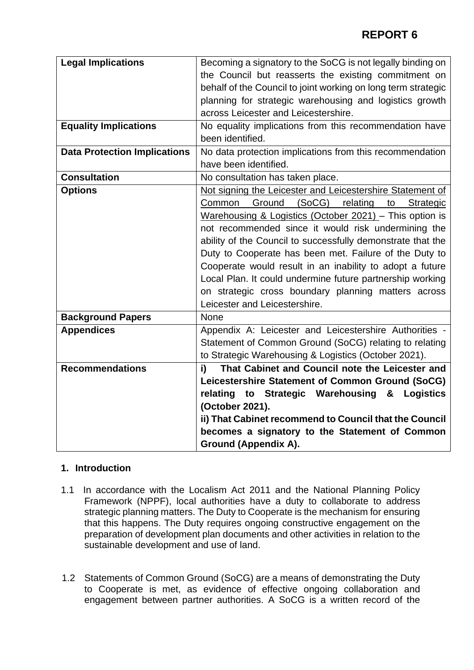| <b>Legal Implications</b>           | Becoming a signatory to the SoCG is not legally binding on    |
|-------------------------------------|---------------------------------------------------------------|
|                                     | the Council but reasserts the existing commitment on          |
|                                     | behalf of the Council to joint working on long term strategic |
|                                     | planning for strategic warehousing and logistics growth       |
|                                     | across Leicester and Leicestershire.                          |
| <b>Equality Implications</b>        | No equality implications from this recommendation have        |
|                                     | been identified.                                              |
| <b>Data Protection Implications</b> | No data protection implications from this recommendation      |
|                                     | have been identified.                                         |
| <b>Consultation</b>                 | No consultation has taken place.                              |
| <b>Options</b>                      | Not signing the Leicester and Leicestershire Statement of     |
|                                     | Ground<br>(SoCG)<br>relating<br>Common<br>Strategic<br>to     |
|                                     | Warehousing & Logistics (October 2021) - This option is       |
|                                     | not recommended since it would risk undermining the           |
|                                     | ability of the Council to successfully demonstrate that the   |
|                                     | Duty to Cooperate has been met. Failure of the Duty to        |
|                                     | Cooperate would result in an inability to adopt a future      |
|                                     | Local Plan. It could undermine future partnership working     |
|                                     | on strategic cross boundary planning matters across           |
|                                     | Leicester and Leicestershire.                                 |
| <b>Background Papers</b>            | <b>None</b>                                                   |
| <b>Appendices</b>                   | Appendix A: Leicester and Leicestershire Authorities -        |
|                                     | Statement of Common Ground (SoCG) relating to relating        |
|                                     | to Strategic Warehousing & Logistics (October 2021).          |
| <b>Recommendations</b>              | That Cabinet and Council note the Leicester and<br>i)         |
|                                     | Leicestershire Statement of Common Ground (SoCG)              |
|                                     | relating<br>to Strategic Warehousing & Logistics              |
|                                     | (October 2021).                                               |
|                                     | ii) That Cabinet recommend to Council that the Council        |
|                                     | becomes a signatory to the Statement of Common                |
|                                     | <b>Ground (Appendix A).</b>                                   |

# **1. Introduction**

- 1.1 In accordance with the Localism Act 2011 and the National Planning Policy Framework (NPPF), local authorities have a duty to collaborate to address strategic planning matters. The Duty to Cooperate is the mechanism for ensuring that this happens. The Duty requires ongoing constructive engagement on the preparation of development plan documents and other activities in relation to the sustainable development and use of land.
- 1.2 Statements of Common Ground (SoCG) are a means of demonstrating the Duty to Cooperate is met, as evidence of effective ongoing collaboration and engagement between partner authorities. A SoCG is a written record of the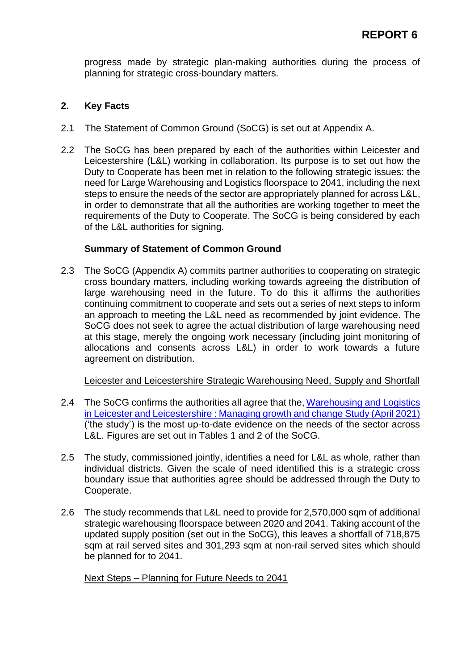progress made by strategic plan-making authorities during the process of planning for strategic cross-boundary matters.

### **2. Key Facts**

- 2.1 The Statement of Common Ground (SoCG) is set out at Appendix A.
- 2.2 The SoCG has been prepared by each of the authorities within Leicester and Leicestershire (L&L) working in collaboration. Its purpose is to set out how the Duty to Cooperate has been met in relation to the following strategic issues: the need for Large Warehousing and Logistics floorspace to 2041, including the next steps to ensure the needs of the sector are appropriately planned for across L&L, in order to demonstrate that all the authorities are working together to meet the requirements of the Duty to Cooperate. The SoCG is being considered by each of the L&L authorities for signing.

## **Summary of Statement of Common Ground**

2.3 The SoCG (Appendix A) commits partner authorities to cooperating on strategic cross boundary matters, including working towards agreeing the distribution of large warehousing need in the future. To do this it affirms the authorities continuing commitment to cooperate and sets out a series of next steps to inform an approach to meeting the L&L need as recommended by joint evidence. The SoCG does not seek to agree the actual distribution of large warehousing need at this stage, merely the ongoing work necessary (including joint monitoring of allocations and consents across L&L) in order to work towards a future agreement on distribution.

### Leicester and Leicestershire Strategic Warehousing Need, Supply and Shortfall

- 2.4 The SoCG confirms the authorities all agree that the, Warehousing and Logistics [in Leicester and Leicestershire : Managing growth and change Study \(April 2021\)](https://www.harborough.gov.uk/downloads/file/6841/warehousing_report_leics_final_27_04_21_v2_published) ('the study') is the most up-to-date evidence on the needs of the sector across L&L. Figures are set out in Tables 1 and 2 of the SoCG.
- 2.5 The study, commissioned jointly, identifies a need for L&L as whole, rather than individual districts. Given the scale of need identified this is a strategic cross boundary issue that authorities agree should be addressed through the Duty to Cooperate.
- 2.6 The study recommends that L&L need to provide for 2,570,000 sqm of additional strategic warehousing floorspace between 2020 and 2041. Taking account of the updated supply position (set out in the SoCG), this leaves a shortfall of 718,875 sqm at rail served sites and 301,293 sqm at non-rail served sites which should be planned for to 2041.

### Next Steps – Planning for Future Needs to 2041